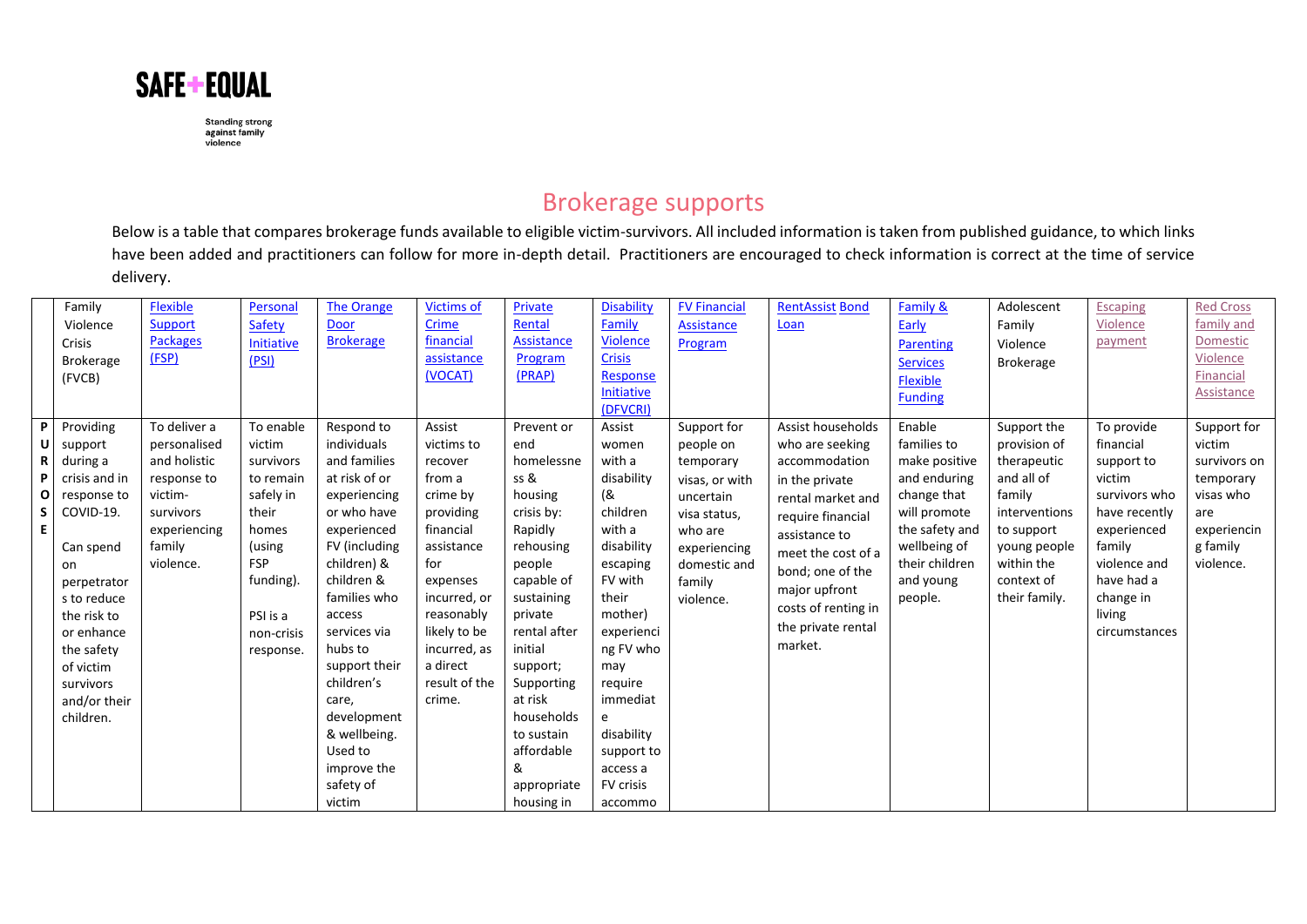

## Brokerage supports

Below is a table that compares brokerage funds available to eligible victim-survivors. All included information is taken from published guidance, to which links have been added and practitioners can follow for more in-depth detail. Practitioners are encouraged to check information is correct at the time of service delivery.

|          | Family                  | <b>Flexible</b> | Personal             | <b>The Orange</b>         | <b>Victims of</b>        | Private                  | <b>Disability</b> | <b>FV Financial</b> | <b>RentAssist Bond</b> | <b>Family &amp;</b> | Adolescent                  | <b>Escaping</b>         | <b>Red Cross</b> |
|----------|-------------------------|-----------------|----------------------|---------------------------|--------------------------|--------------------------|-------------------|---------------------|------------------------|---------------------|-----------------------------|-------------------------|------------------|
|          | Violence                | Support         | Safety               | Door                      | Crime                    | Rental                   | Family            | Assistance          | Loan                   | Early               | Family                      | Violence                | family and       |
|          | Crisis                  | <b>Packages</b> | Initiative           | <b>Brokerage</b>          | financial                | Assistance               | <b>Violence</b>   | Program             |                        | Parenting           | Violence                    | payment                 | Domestic         |
|          | <b>Brokerage</b>        | (FSP)           | (PSI)                |                           | assistance               | Program                  | <b>Crisis</b>     |                     |                        | <b>Services</b>     | Brokerage                   |                         | Violence         |
|          | (FVCB)                  |                 |                      |                           | (VOCAT)                  | (PRAP)                   | Response          |                     |                        | Flexible            |                             |                         | Financial        |
|          |                         |                 |                      |                           |                          |                          | Initiative        |                     |                        | <b>Funding</b>      |                             |                         | Assistance       |
|          |                         |                 |                      |                           |                          |                          | (DFVCRI)          |                     |                        |                     |                             |                         |                  |
| P        | Providing               | To deliver a    | To enable            | Respond to                | Assist                   | Prevent or               | Assist            | Support for         | Assist households      | Enable              | Support the                 | To provide              | Support for      |
| υI       | support                 | personalised    | victim               | individuals               | victims to               | end                      | women             | people on           | who are seeking        | families to         | provision of                | financial               | victim           |
| R        | during a                | and holistic    | survivors            | and families              | recover                  | homelessne               | with a            | temporary           | accommodation          | make positive       | therapeutic                 | support to              | survivors on     |
| P        | crisis and in           | response to     | to remain            | at risk of or             | from a                   | ss &                     | disability        | visas, or with      | in the private         | and enduring        | and all of                  | victim                  | temporary        |
| $\Omega$ | response to             | victim-         | safely in            | experiencing              | crime by                 | housing                  | (&                | uncertain           | rental market and      | change that         | family                      | survivors who           | visas who        |
| S.       | COVID-19.               | survivors       | their                | or who have               | providing                | crisis by:               | children          | visa status,        | require financial      | will promote        | interventions               | have recently           | are              |
| E.       |                         | experiencing    | homes                | experienced               | financial                | Rapidly                  | with a            | who are             | assistance to          | the safety and      | to support                  | experienced             | experiencin      |
|          | Can spend               | family          | (using<br><b>FSP</b> | FV (including             | assistance               | rehousing                | disability        | experiencing        | meet the cost of a     | wellbeing of        | young people                | family                  | g family         |
|          | on                      | violence.       |                      | children) &<br>children & | for                      | people                   | escaping          | domestic and        | bond; one of the       | their children      | within the                  | violence and            | violence.        |
|          | perpetrator             |                 | funding).            | families who              | expenses<br>incurred, or | capable of<br>sustaining | FV with<br>their  | family              | major upfront          | and young           | context of<br>their family. | have had a<br>change in |                  |
|          | s to reduce             |                 |                      | access                    | reasonably               | private                  | mother)           | violence.           | costs of renting in    | people.             |                             | living                  |                  |
|          | the risk to             |                 | PSI is a             | services via              | likely to be             | rental after             | experienci        |                     | the private rental     |                     |                             | circumstances           |                  |
|          | or enhance              |                 | non-crisis           | hubs to                   | incurred, as             | initial                  | ng FV who         |                     | market.                |                     |                             |                         |                  |
|          | the safety<br>of victim |                 | response.            | support their             | a direct                 | support;                 | may               |                     |                        |                     |                             |                         |                  |
|          | survivors               |                 |                      | children's                | result of the            | Supporting               | reguire           |                     |                        |                     |                             |                         |                  |
|          | and/or their            |                 |                      | care,                     | crime.                   | at risk                  | immediat          |                     |                        |                     |                             |                         |                  |
|          | children.               |                 |                      | development               |                          | households               | e                 |                     |                        |                     |                             |                         |                  |
|          |                         |                 |                      | & wellbeing.              |                          | to sustain               | disability        |                     |                        |                     |                             |                         |                  |
|          |                         |                 |                      | Used to                   |                          | affordable               | support to        |                     |                        |                     |                             |                         |                  |
|          |                         |                 |                      | improve the               |                          | &                        | access a          |                     |                        |                     |                             |                         |                  |
|          |                         |                 |                      | safety of                 |                          | appropriate              | <b>FV</b> crisis  |                     |                        |                     |                             |                         |                  |
|          |                         |                 |                      | victim                    |                          | housing in               | accommo           |                     |                        |                     |                             |                         |                  |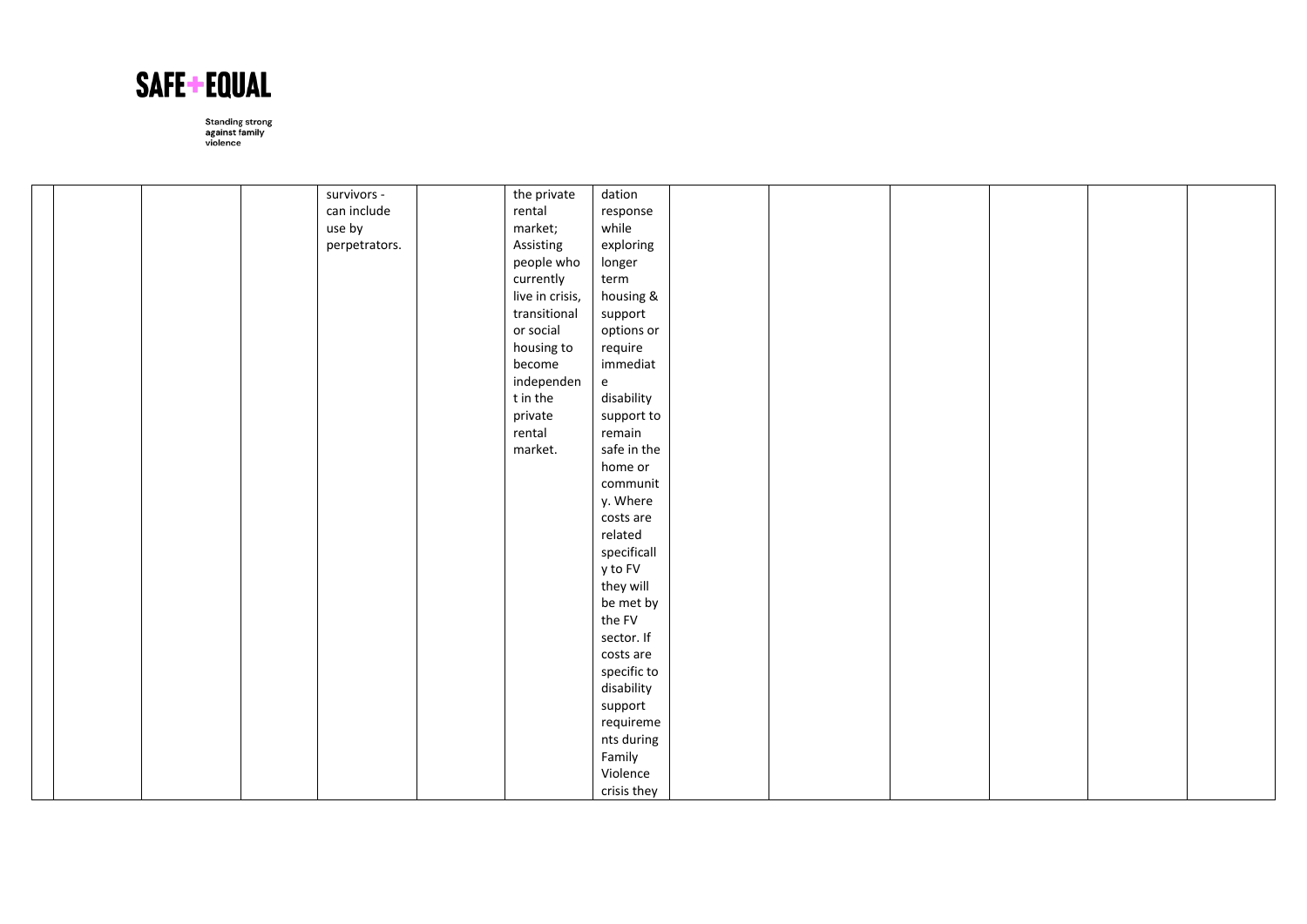

|  |  | survivors -   | the private     | dation                            |  |  |  |
|--|--|---------------|-----------------|-----------------------------------|--|--|--|
|  |  | can include   | rental          | response                          |  |  |  |
|  |  | use by        | market;         | while                             |  |  |  |
|  |  | perpetrators. | Assisting       | exploring                         |  |  |  |
|  |  |               | people who      | longer                            |  |  |  |
|  |  |               | currently       | term                              |  |  |  |
|  |  |               | live in crisis, | housing &                         |  |  |  |
|  |  |               | transitional    | support                           |  |  |  |
|  |  |               | or social       | options or                        |  |  |  |
|  |  |               | housing to      | require                           |  |  |  |
|  |  |               | become          | immediat                          |  |  |  |
|  |  |               | independen      | $\mathsf{e}% _{t}\left( t\right)$ |  |  |  |
|  |  |               | t in the        | disability                        |  |  |  |
|  |  |               | private         | support to                        |  |  |  |
|  |  |               | rental          | remain                            |  |  |  |
|  |  |               | market.         | safe in the                       |  |  |  |
|  |  |               |                 | home or                           |  |  |  |
|  |  |               |                 | communit                          |  |  |  |
|  |  |               |                 | y. Where                          |  |  |  |
|  |  |               |                 | costs are                         |  |  |  |
|  |  |               |                 | related                           |  |  |  |
|  |  |               |                 | specificall                       |  |  |  |
|  |  |               |                 | y to FV                           |  |  |  |
|  |  |               |                 | they will                         |  |  |  |
|  |  |               |                 | be met by                         |  |  |  |
|  |  |               |                 | the FV                            |  |  |  |
|  |  |               |                 | sector. If                        |  |  |  |
|  |  |               |                 | costs are                         |  |  |  |
|  |  |               |                 | specific to                       |  |  |  |
|  |  |               |                 | disability                        |  |  |  |
|  |  |               |                 | support                           |  |  |  |
|  |  |               |                 | requireme                         |  |  |  |
|  |  |               |                 | nts during                        |  |  |  |
|  |  |               |                 | Family                            |  |  |  |
|  |  |               |                 | Violence                          |  |  |  |
|  |  |               |                 | crisis they                       |  |  |  |
|  |  |               |                 |                                   |  |  |  |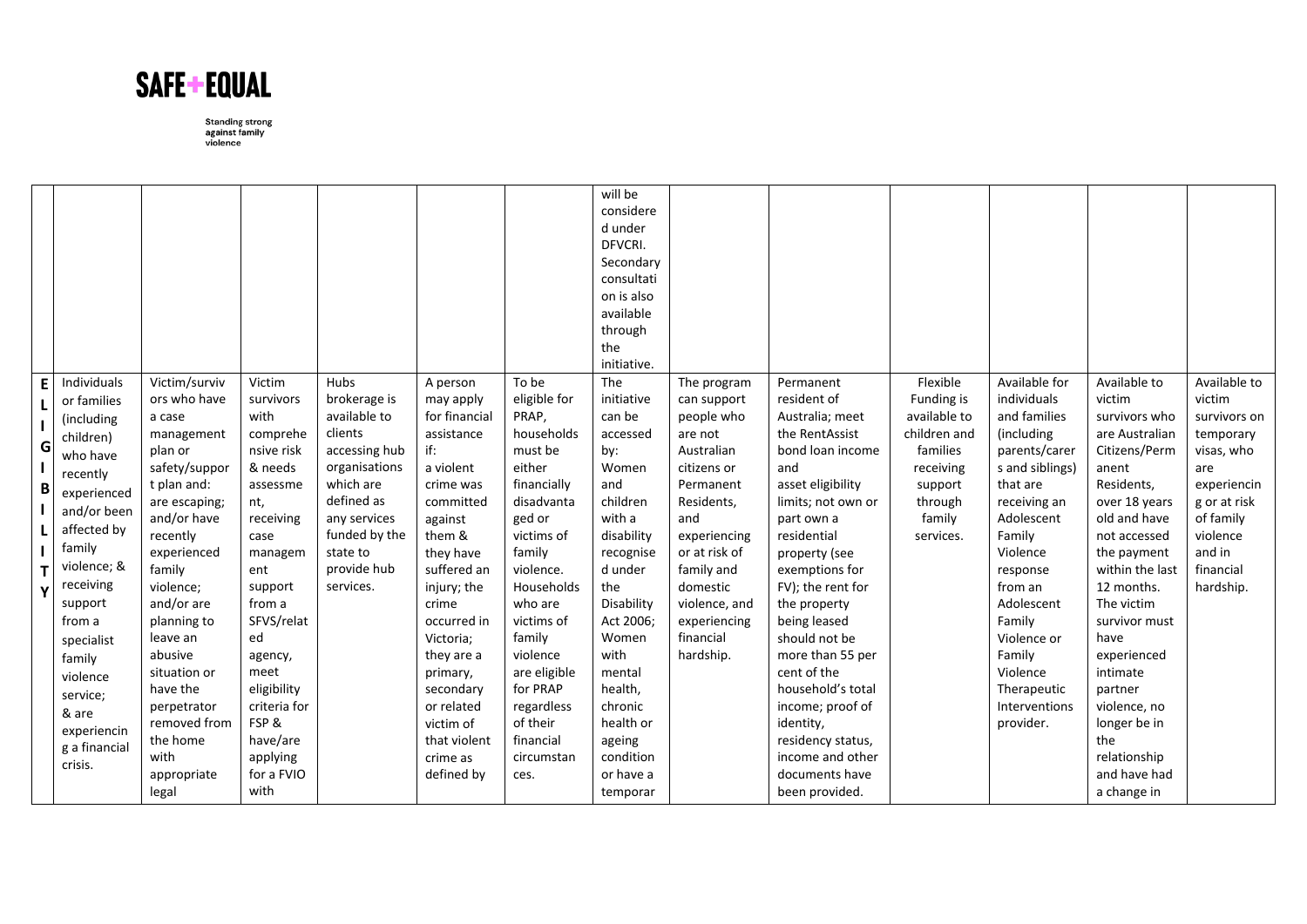

|             |                                                                                                                                                                                                                                                                                           |                                                                                                                                                                                                                                                                                                                                               |                                                                                                                                                                                                                                                                             |                                                                                                                                                                                       |                                                                                                                                                                                                                                                                                                                     |                                                                                                                                                                                                                                                                                                     | will be<br>considere<br>d under<br>DFVCRI.<br>Secondary<br>consultati<br>on is also<br>available<br>through<br>the<br>initiative.                                                                                                                                          |                                                                                                                                                                                                                                          |                                                                                                                                                                                                                                                                                                                                                                                                                                                 |                                                                                                                              |                                                                                                                                                                                                                                                                                                 |                                                                                                                                                                                                                                                                                                                                                                       |                                                                                                                                                                      |
|-------------|-------------------------------------------------------------------------------------------------------------------------------------------------------------------------------------------------------------------------------------------------------------------------------------------|-----------------------------------------------------------------------------------------------------------------------------------------------------------------------------------------------------------------------------------------------------------------------------------------------------------------------------------------------|-----------------------------------------------------------------------------------------------------------------------------------------------------------------------------------------------------------------------------------------------------------------------------|---------------------------------------------------------------------------------------------------------------------------------------------------------------------------------------|---------------------------------------------------------------------------------------------------------------------------------------------------------------------------------------------------------------------------------------------------------------------------------------------------------------------|-----------------------------------------------------------------------------------------------------------------------------------------------------------------------------------------------------------------------------------------------------------------------------------------------------|----------------------------------------------------------------------------------------------------------------------------------------------------------------------------------------------------------------------------------------------------------------------------|------------------------------------------------------------------------------------------------------------------------------------------------------------------------------------------------------------------------------------------|-------------------------------------------------------------------------------------------------------------------------------------------------------------------------------------------------------------------------------------------------------------------------------------------------------------------------------------------------------------------------------------------------------------------------------------------------|------------------------------------------------------------------------------------------------------------------------------|-------------------------------------------------------------------------------------------------------------------------------------------------------------------------------------------------------------------------------------------------------------------------------------------------|-----------------------------------------------------------------------------------------------------------------------------------------------------------------------------------------------------------------------------------------------------------------------------------------------------------------------------------------------------------------------|----------------------------------------------------------------------------------------------------------------------------------------------------------------------|
| E<br>G<br>B | Individuals<br>or families<br>(including<br>children)<br>who have<br>recently<br>experienced<br>and/or been<br>affected by<br>family<br>violence; &<br>receiving<br>support<br>from a<br>specialist<br>family<br>violence<br>service;<br>& are<br>experiencin<br>g a financial<br>crisis. | Victim/surviv<br>ors who have<br>a case<br>management<br>plan or<br>safety/suppor<br>t plan and:<br>are escaping;<br>and/or have<br>recently<br>experienced<br>family<br>violence;<br>and/or are<br>planning to<br>leave an<br>abusive<br>situation or<br>have the<br>perpetrator<br>removed from<br>the home<br>with<br>appropriate<br>legal | Victim<br>survivors<br>with<br>comprehe<br>nsive risk<br>& needs<br>assessme<br>nt,<br>receiving<br>case<br>managem<br>ent<br>support<br>from a<br>SFVS/relat<br>ed<br>agency,<br>meet<br>eligibility<br>criteria for<br>FSP&<br>have/are<br>applying<br>for a FVIO<br>with | Hubs<br>brokerage is<br>available to<br>clients<br>accessing hub<br>organisations<br>which are<br>defined as<br>any services<br>funded by the<br>state to<br>provide hub<br>services. | A person<br>may apply<br>for financial<br>assistance<br>if:<br>a violent<br>crime was<br>committed<br>against<br>them &<br>they have<br>suffered an<br>injury; the<br>crime<br>occurred in<br>Victoria;<br>they are a<br>primary,<br>secondary<br>or related<br>victim of<br>that violent<br>crime as<br>defined by | To be<br>eligible for<br>PRAP,<br>households<br>must be<br>either<br>financially<br>disadvanta<br>ged or<br>victims of<br>family<br>violence.<br>Households<br>who are<br>victims of<br>family<br>violence<br>are eligible<br>for PRAP<br>regardless<br>of their<br>financial<br>circumstan<br>ces. | The<br>initiative<br>can be<br>accessed<br>by:<br>Women<br>and<br>children<br>with a<br>disability<br>recognise<br>d under<br>the<br>Disability<br>Act 2006;<br>Women<br>with<br>mental<br>health,<br>chronic<br>health or<br>ageing<br>condition<br>or have a<br>temporar | The program<br>can support<br>people who<br>are not<br>Australian<br>citizens or<br>Permanent<br>Residents,<br>and<br>experiencing<br>or at risk of<br>family and<br>domestic<br>violence, and<br>experiencing<br>financial<br>hardship. | Permanent<br>resident of<br>Australia; meet<br>the RentAssist<br>bond loan income<br>and<br>asset eligibility<br>limits; not own or<br>part own a<br>residential<br>property (see<br>exemptions for<br>FV); the rent for<br>the property<br>being leased<br>should not be<br>more than 55 per<br>cent of the<br>household's total<br>income; proof of<br>identity,<br>residency status,<br>income and other<br>documents have<br>been provided. | Flexible<br>Funding is<br>available to<br>children and<br>families<br>receiving<br>support<br>through<br>family<br>services. | Available for<br>individuals<br>and families<br>(including<br>parents/carer<br>s and siblings)<br>that are<br>receiving an<br>Adolescent<br>Family<br>Violence<br>response<br>from an<br>Adolescent<br>Family<br>Violence or<br>Family<br>Violence<br>Therapeutic<br>Interventions<br>provider. | Available to<br>victim<br>survivors who<br>are Australian<br>Citizens/Perm<br>anent<br>Residents,<br>over 18 years<br>old and have<br>not accessed<br>the payment<br>within the last<br>12 months.<br>The victim<br>survivor must<br>have<br>experienced<br>intimate<br>partner<br>violence, no<br>longer be in<br>the<br>relationship<br>and have had<br>a change in | Available to<br>victim<br>survivors on<br>temporary<br>visas, who<br>are<br>experiencin<br>g or at risk<br>of family<br>violence<br>and in<br>financial<br>hardship. |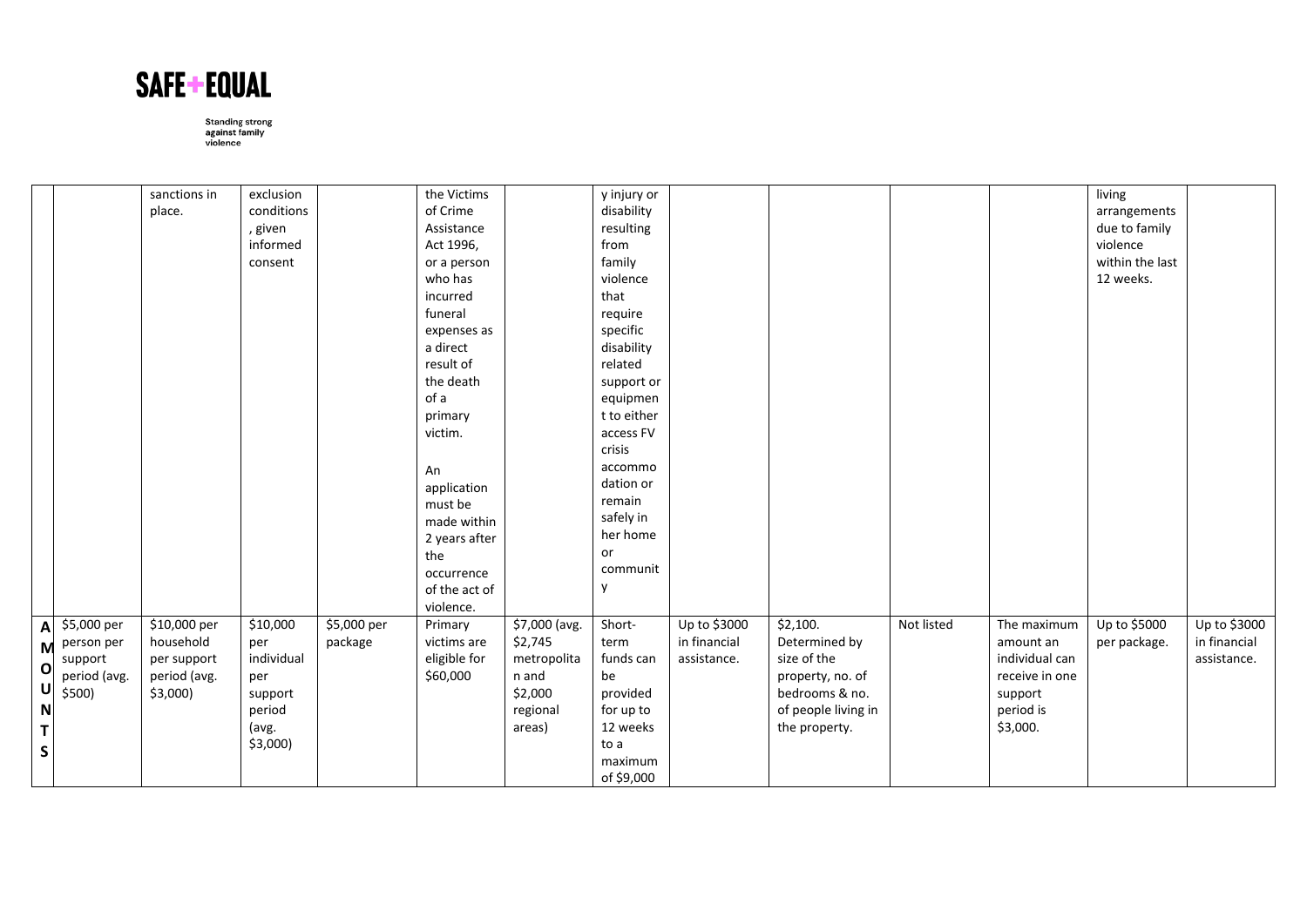

|                    |              | sanctions in | exclusion  |             | the Victims   |               | y injury or |              |                     |            |                | living          |              |
|--------------------|--------------|--------------|------------|-------------|---------------|---------------|-------------|--------------|---------------------|------------|----------------|-----------------|--------------|
|                    |              | place.       | conditions |             | of Crime      |               | disability  |              |                     |            |                | arrangements    |              |
|                    |              |              | , given    |             | Assistance    |               | resulting   |              |                     |            |                | due to family   |              |
|                    |              |              | informed   |             | Act 1996,     |               | from        |              |                     |            |                | violence        |              |
|                    |              |              | consent    |             | or a person   |               | family      |              |                     |            |                | within the last |              |
|                    |              |              |            |             | who has       |               | violence    |              |                     |            |                | 12 weeks.       |              |
|                    |              |              |            |             | incurred      |               | that        |              |                     |            |                |                 |              |
|                    |              |              |            |             | funeral       |               | require     |              |                     |            |                |                 |              |
|                    |              |              |            |             | expenses as   |               | specific    |              |                     |            |                |                 |              |
|                    |              |              |            |             | a direct      |               | disability  |              |                     |            |                |                 |              |
|                    |              |              |            |             | result of     |               | related     |              |                     |            |                |                 |              |
|                    |              |              |            |             | the death     |               | support or  |              |                     |            |                |                 |              |
|                    |              |              |            |             | of a          |               | equipmen    |              |                     |            |                |                 |              |
|                    |              |              |            |             | primary       |               | t to either |              |                     |            |                |                 |              |
|                    |              |              |            |             | victim.       |               | access FV   |              |                     |            |                |                 |              |
|                    |              |              |            |             |               |               | crisis      |              |                     |            |                |                 |              |
|                    |              |              |            |             | An            |               | accommo     |              |                     |            |                |                 |              |
|                    |              |              |            |             | application   |               | dation or   |              |                     |            |                |                 |              |
|                    |              |              |            |             | must be       |               | remain      |              |                     |            |                |                 |              |
|                    |              |              |            |             | made within   |               | safely in   |              |                     |            |                |                 |              |
|                    |              |              |            |             | 2 years after |               | her home    |              |                     |            |                |                 |              |
|                    |              |              |            |             | the           |               | or          |              |                     |            |                |                 |              |
|                    |              |              |            |             | occurrence    |               | communit    |              |                     |            |                |                 |              |
|                    |              |              |            |             | of the act of |               | y           |              |                     |            |                |                 |              |
|                    |              |              |            |             | violence.     |               |             |              |                     |            |                |                 |              |
|                    | \$5,000 per  | \$10,000 per | \$10,000   | \$5,000 per | Primary       | \$7,000 (avg. | Short-      | Up to \$3000 | \$2,100.            | Not listed | The maximum    | Up to \$5000    | Up to \$3000 |
| A<br>$\mathsf{M}$  | person per   | household    | per        | package     | victims are   | \$2,745       | term        | in financial | Determined by       |            | amount an      | per package.    | in financial |
|                    | support      | per support  | individual |             | eligible for  | metropolita   | funds can   | assistance.  | size of the         |            | individual can |                 | assistance.  |
| $\mathbf{o}$       | period (avg. | period (avg. | per        |             | \$60,000      | n and         | be          |              | property, no. of    |            | receive in one |                 |              |
| $\cup$             | \$500)       | $$3,000$ )   | support    |             |               | \$2,000       | provided    |              | bedrooms & no.      |            | support        |                 |              |
| $\mathsf{N}$       |              |              | period     |             |               | regional      | for up to   |              | of people living in |            | period is      |                 |              |
| $\bar{\mathbf{T}}$ |              |              | (avg.      |             |               | areas)        | 12 weeks    |              | the property.       |            | \$3,000.       |                 |              |
|                    |              |              | $$3,000$ ) |             |               |               | to a        |              |                     |            |                |                 |              |
| $\mathsf{s}$       |              |              |            |             |               |               | maximum     |              |                     |            |                |                 |              |
|                    |              |              |            |             |               |               | of \$9,000  |              |                     |            |                |                 |              |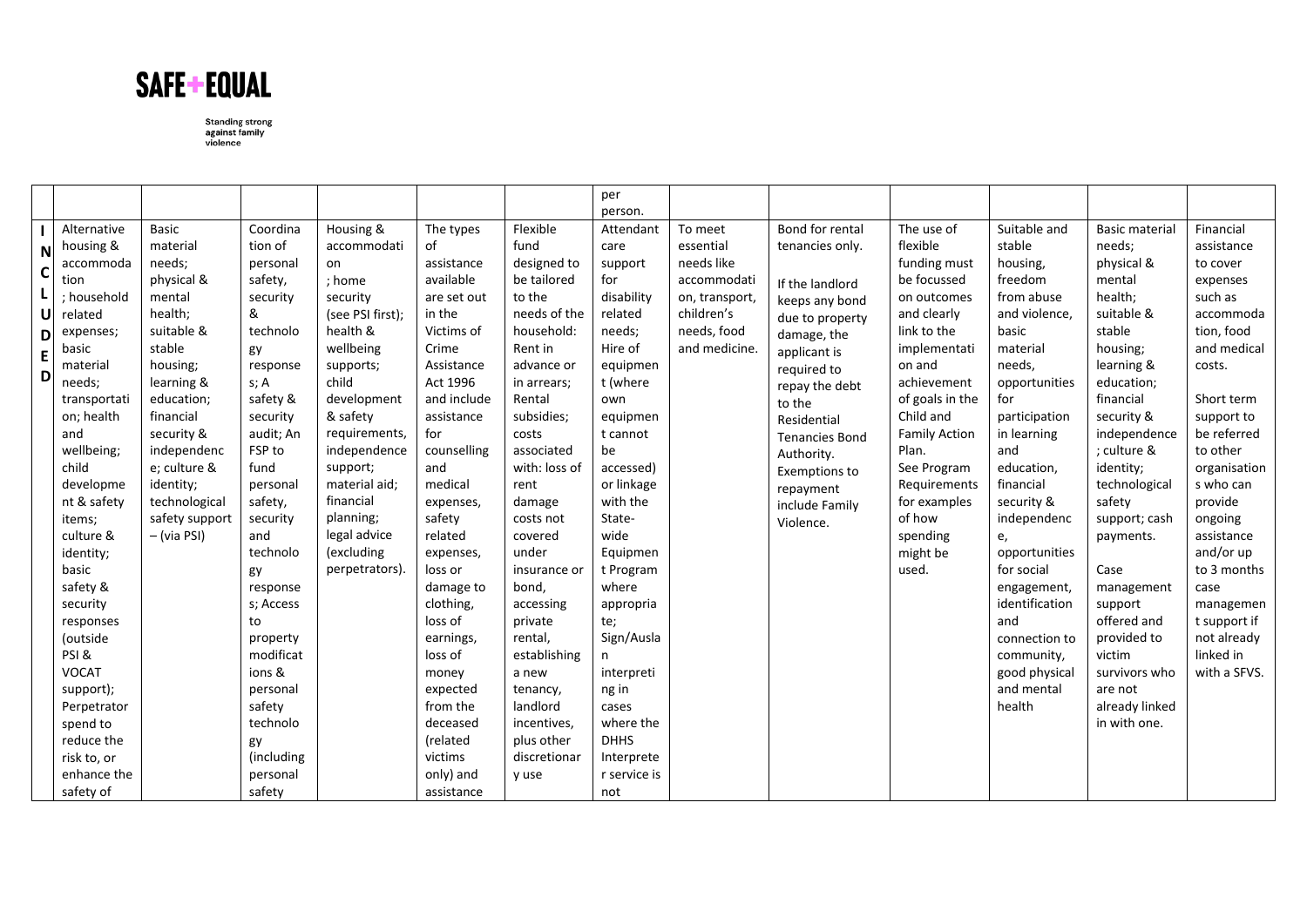

|             |              |                |            |                    |             |               | per<br>person. |                              |                       |                      |                |                       |                           |
|-------------|--------------|----------------|------------|--------------------|-------------|---------------|----------------|------------------------------|-----------------------|----------------------|----------------|-----------------------|---------------------------|
|             | Alternative  | Basic          | Coordina   | Housing &          | The types   | Flexible      | Attendant      | To meet                      | Bond for rental       | The use of           | Suitable and   | <b>Basic material</b> | Financial                 |
|             | housing &    | material       | tion of    | accommodati        | of          | fund          | care           | essential                    | tenancies only.       | flexible             | stable         | needs;                | assistance                |
| N           | accommoda    | needs;         | personal   | on                 | assistance  | designed to   | support        | needs like                   |                       | funding must         | housing,       | physical &            | to cover                  |
| $\mathbf c$ | tion         | physical &     | safety,    | ; home             | available   | be tailored   | for            | accommodati                  |                       | be focussed          | freedom        | mental                | expenses                  |
| L           | ; household  | mental         | security   | security           | are set out | to the        | disability     |                              | If the landlord       | on outcomes          | from abuse     | health;               | such as                   |
| U           | related      | health;        | &          | (see PSI first);   | in the      | needs of the  | related        | on, transport,<br>children's | keeps any bond        | and clearly          | and violence,  | suitable &            | accommoda                 |
|             |              | suitable &     | technolo   | health &           | Victims of  | household:    | needs;         | needs, food                  | due to property       | link to the          | basic          | stable                | tion, food                |
| D           | expenses;    | stable         |            | wellbeing          | Crime       | Rent in       | Hire of        | and medicine.                | damage, the           | implementati         | material       | housing;              | and medical               |
| E           | basic        |                | gy         |                    |             |               |                |                              | applicant is          |                      |                |                       |                           |
| D           | material     | housing;       | response   | supports;<br>child | Assistance  | advance or    | equipmen       |                              | required to           | on and               | needs,         | learning &            | costs.                    |
|             | needs;       | learning &     | s; A       |                    | Act 1996    | in arrears;   | t (where       |                              | repay the debt        | achievement          | opportunities  | education;            |                           |
|             | transportati | education;     | safety &   | development        | and include | Rental        | own            |                              | to the                | of goals in the      | for            | financial             | Short term                |
|             | on; health   | financial      | security   | & safety           | assistance  | subsidies;    | equipmen       |                              | Residential           | Child and            | participation  | security &            | support to<br>be referred |
|             | and          | security &     | audit; An  | requirements,      | for         | costs         | t cannot       |                              | <b>Tenancies Bond</b> | <b>Family Action</b> | in learning    | independence          |                           |
|             | wellbeing;   | independenc    | FSP to     | independence       | counselling | associated    | be             |                              | Authority.            | Plan.                | and            | : culture &           | to other                  |
|             | child        | e; culture &   | fund       | support;           | and         | with: loss of | accessed)      |                              | Exemptions to         | See Program          | education,     | identity;             | organisation              |
|             | developme    | identity;      | personal   | material aid:      | medical     | rent          | or linkage     |                              | repayment             | Requirements         | financial      | technological         | s who can                 |
|             | nt & safety  | technological  | safety,    | financial          | expenses,   | damage        | with the       |                              | include Family        | for examples         | security &     | safety                | provide                   |
|             | items:       | safety support | security   | planning;          | safety      | costs not     | State-         |                              | Violence.             | of how               | independenc    | support; cash         | ongoing                   |
|             | culture &    | $-$ (via PSI)  | and        | legal advice       | related     | covered       | wide           |                              |                       | spending             | e,             | payments.             | assistance                |
|             | identity;    |                | technolo   | (excluding         | expenses,   | under         | Equipmen       |                              |                       | might be             | opportunities  |                       | and/or up                 |
|             | basic        |                | gy         | perpetrators).     | loss or     | insurance or  | t Program      |                              |                       | used.                | for social     | Case                  | to 3 months               |
|             | safety &     |                | response   |                    | damage to   | bond,         | where          |                              |                       |                      | engagement,    | management            | case                      |
|             | security     |                | s; Access  |                    | clothing,   | accessing     | appropria      |                              |                       |                      | identification | support               | managemen                 |
|             | responses    |                | to         |                    | loss of     | private       | te;            |                              |                       |                      | and            | offered and           | t support if              |
|             | (outside     |                | property   |                    | earnings,   | rental,       | Sign/Ausla     |                              |                       |                      | connection to  | provided to           | not already               |
|             | PSI&         |                | modificat  |                    | loss of     | establishing  | n              |                              |                       |                      | community,     | victim                | linked in                 |
|             | <b>VOCAT</b> |                | ions &     |                    | money       | a new         | interpreti     |                              |                       |                      | good physical  | survivors who         | with a SFVS.              |
|             | support);    |                | personal   |                    | expected    | tenancy,      | ng in          |                              |                       |                      | and mental     | are not               |                           |
|             | Perpetrator  |                | safety     |                    | from the    | landlord      | cases          |                              |                       |                      | health         | already linked        |                           |
|             | spend to     |                | technolo   |                    | deceased    | incentives,   | where the      |                              |                       |                      |                | in with one.          |                           |
|             | reduce the   |                | gy         |                    | (related    | plus other    | <b>DHHS</b>    |                              |                       |                      |                |                       |                           |
|             | risk to, or  |                | (including |                    | victims     | discretionar  | Interprete     |                              |                       |                      |                |                       |                           |
|             | enhance the  |                | personal   |                    | only) and   | y use         | r service is   |                              |                       |                      |                |                       |                           |
|             | safety of    |                | safety     |                    | assistance  |               | not            |                              |                       |                      |                |                       |                           |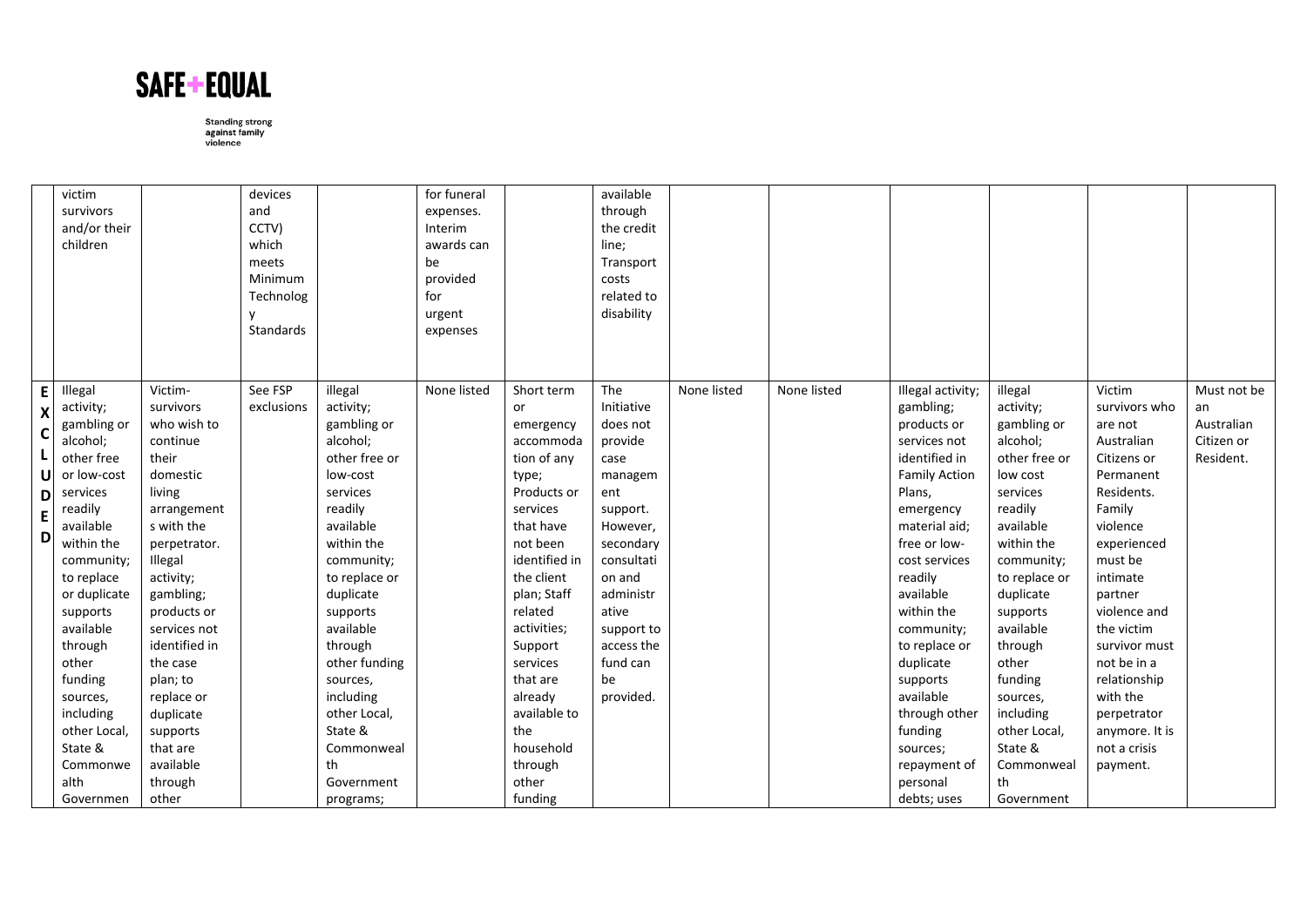

|                                                                    | victim<br>survivors<br>and/or their<br>children                                                                                                                                                                                                                                                                         |                                                                                                                                                                                                                                                                                                                              | devices<br>and<br>CCTV)<br>which<br>meets<br>Minimum<br>Technolog<br>Standards |                                                                                                                                                                                                                                                                                                                                    | for funeral<br>expenses.<br>Interim<br>awards can<br>be<br>provided<br>for<br>urgent<br>expenses |                                                                                                                                                                                                                                                                                                                 | available<br>through<br>the credit<br>line;<br>Transport<br>costs<br>related to<br>disability                                                                                                                    |             |             |                                                                                                                                                                                                                                                                                                                                                                               |                                                                                                                                                                                                                                                                                                                          |                                                                                                                                                                                                                                                                                                                          |                                                            |
|--------------------------------------------------------------------|-------------------------------------------------------------------------------------------------------------------------------------------------------------------------------------------------------------------------------------------------------------------------------------------------------------------------|------------------------------------------------------------------------------------------------------------------------------------------------------------------------------------------------------------------------------------------------------------------------------------------------------------------------------|--------------------------------------------------------------------------------|------------------------------------------------------------------------------------------------------------------------------------------------------------------------------------------------------------------------------------------------------------------------------------------------------------------------------------|--------------------------------------------------------------------------------------------------|-----------------------------------------------------------------------------------------------------------------------------------------------------------------------------------------------------------------------------------------------------------------------------------------------------------------|------------------------------------------------------------------------------------------------------------------------------------------------------------------------------------------------------------------|-------------|-------------|-------------------------------------------------------------------------------------------------------------------------------------------------------------------------------------------------------------------------------------------------------------------------------------------------------------------------------------------------------------------------------|--------------------------------------------------------------------------------------------------------------------------------------------------------------------------------------------------------------------------------------------------------------------------------------------------------------------------|--------------------------------------------------------------------------------------------------------------------------------------------------------------------------------------------------------------------------------------------------------------------------------------------------------------------------|------------------------------------------------------------|
| E<br>$\boldsymbol{\mathsf{X}}$<br>$\mathsf{C}$<br>U<br>D<br>E<br>D | Illegal<br>activity;<br>gambling or<br>alcohol;<br>other free<br>or low-cost<br>services<br>readily<br>available<br>within the<br>community;<br>to replace<br>or duplicate<br>supports<br>available<br>through<br>other<br>funding<br>sources,<br>including<br>other Local,<br>State &<br>Commonwe<br>alth<br>Governmen | Victim-<br>survivors<br>who wish to<br>continue<br>their<br>domestic<br>living<br>arrangement<br>s with the<br>perpetrator.<br>Illegal<br>activity;<br>gambling;<br>products or<br>services not<br>identified in<br>the case<br>plan; to<br>replace or<br>duplicate<br>supports<br>that are<br>available<br>through<br>other | See FSP<br>exclusions                                                          | illegal<br>activity;<br>gambling or<br>alcohol;<br>other free or<br>low-cost<br>services<br>readily<br>available<br>within the<br>community;<br>to replace or<br>duplicate<br>supports<br>available<br>through<br>other funding<br>sources,<br>including<br>other Local,<br>State &<br>Commonweal<br>th<br>Government<br>programs; | None listed                                                                                      | Short term<br>or<br>emergency<br>accommoda<br>tion of any<br>type;<br>Products or<br>services<br>that have<br>not been<br>identified in<br>the client<br>plan; Staff<br>related<br>activities;<br>Support<br>services<br>that are<br>already<br>available to<br>the<br>household<br>through<br>other<br>funding | The<br>Initiative<br>does not<br>provide<br>case<br>managem<br>ent<br>support.<br>However,<br>secondary<br>consultati<br>on and<br>administr<br>ative<br>support to<br>access the<br>fund can<br>be<br>provided. | None listed | None listed | Illegal activity;<br>gambling;<br>products or<br>services not<br>identified in<br><b>Family Action</b><br>Plans,<br>emergency<br>material aid;<br>free or low-<br>cost services<br>readily<br>available<br>within the<br>community;<br>to replace or<br>duplicate<br>supports<br>available<br>through other<br>funding<br>sources;<br>repayment of<br>personal<br>debts; uses | illegal<br>activity;<br>gambling or<br>alcohol;<br>other free or<br>low cost<br>services<br>readily<br>available<br>within the<br>community;<br>to replace or<br>duplicate<br>supports<br>available<br>through<br>other<br>funding<br>sources,<br>including<br>other Local,<br>State &<br>Commonweal<br>th<br>Government | Victim<br>survivors who<br>are not<br>Australian<br>Citizens or<br>Permanent<br>Residents.<br>Family<br>violence<br>experienced<br>must be<br>intimate<br>partner<br>violence and<br>the victim<br>survivor must<br>not be in a<br>relationship<br>with the<br>perpetrator<br>anymore. It is<br>not a crisis<br>payment. | Must not be<br>an<br>Australian<br>Citizen or<br>Resident. |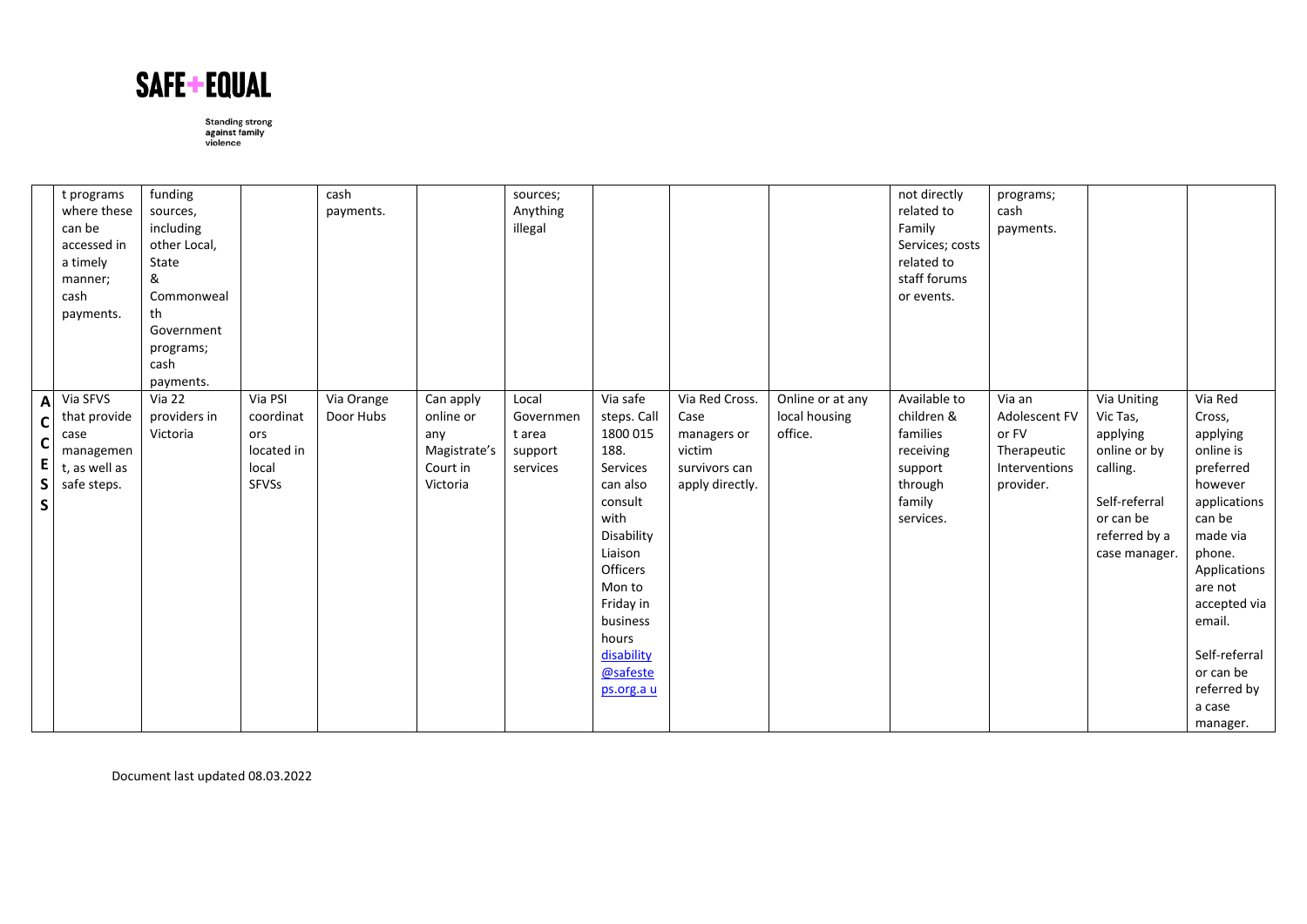

|                                                 | t programs<br>where these<br>can be<br>accessed in<br>a timely<br>manner;<br>cash<br>payments. | funding<br>sources,<br>including<br>other Local,<br>State<br>&<br>Commonweal<br>th<br>Government<br>programs;<br>cash<br>payments. |                                                             | cash<br>payments.       |                                                                       | sources;<br>Anything<br>illegal                     |                                                                                                                                                                                                                 |                                                                                     |                                              | not directly<br>related to<br>Family<br>Services; costs<br>related to<br>staff forums<br>or events. | programs;<br>cash<br>payments.                                                |                                                                                                                                 |                                                                                                                                                                                                                                            |
|-------------------------------------------------|------------------------------------------------------------------------------------------------|------------------------------------------------------------------------------------------------------------------------------------|-------------------------------------------------------------|-------------------------|-----------------------------------------------------------------------|-----------------------------------------------------|-----------------------------------------------------------------------------------------------------------------------------------------------------------------------------------------------------------------|-------------------------------------------------------------------------------------|----------------------------------------------|-----------------------------------------------------------------------------------------------------|-------------------------------------------------------------------------------|---------------------------------------------------------------------------------------------------------------------------------|--------------------------------------------------------------------------------------------------------------------------------------------------------------------------------------------------------------------------------------------|
| $\mathbf{A}$<br>C<br>C<br>E<br>S<br>$\mathsf S$ | Via SFVS<br>that provide<br>case<br>managemen<br>t, as well as<br>safe steps.                  | <b>Via 22</b><br>providers in<br>Victoria                                                                                          | Via PSI<br>coordinat<br>ors<br>located in<br>local<br>SFVSs | Via Orange<br>Door Hubs | Can apply<br>online or<br>any<br>Magistrate's<br>Court in<br>Victoria | Local<br>Governmen<br>t area<br>support<br>services | Via safe<br>steps. Call<br>1800 015<br>188.<br>Services<br>can also<br>consult<br>with<br>Disability<br>Liaison<br>Officers<br>Mon to<br>Friday in<br>business<br>hours<br>disability<br>@safeste<br>ps.org.a u | Via Red Cross.<br>Case<br>managers or<br>victim<br>survivors can<br>apply directly. | Online or at any<br>local housing<br>office. | Available to<br>children &<br>families<br>receiving<br>support<br>through<br>family<br>services.    | Via an<br>Adolescent FV<br>or FV<br>Therapeutic<br>Interventions<br>provider. | Via Uniting<br>Vic Tas,<br>applying<br>online or by<br>calling.<br>Self-referral<br>or can be<br>referred by a<br>case manager. | Via Red<br>Cross,<br>applying<br>online is<br>preferred<br>however<br>applications<br>can be<br>made via<br>phone.<br>Applications<br>are not<br>accepted via<br>email.<br>Self-referral<br>or can be<br>referred by<br>a case<br>manager. |

Document last updated 08.03.2022